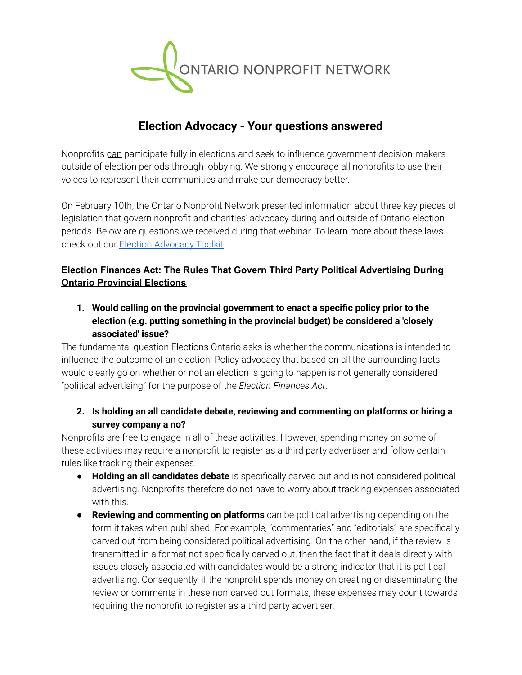

# **Election Advocacy - Your questions answered**

Nonprofits can participate fully in elections and seek to influence government decision-makers outside of election periods through lobbying. We strongly encourage all nonprofits to use their voices to represent their communities and make our democracy better.

On February 10th, the Ontario Nonprofit Network presented information about three key pieces of legislation that govern nonprofit and charities' advocacy during and outside of Ontario election periods. Below are questions we received during that webinar. To learn more about these laws check out our Election [Advocacy](https://theonn.ca/wp-content/uploads/2022/03/Election-Advocacy-Toolkit-1.pdf) Toolkit.

# **Election Finances Act: The Rules That Govern Third Party Political Advertising During Ontario Provincial Elections**

**1. Would calling on the provincial government to enact a specific policy prior to the election (e.g. putting something in the provincial budget) be considered a 'closely associated' issue?**

The fundamental question Elections Ontario asks is whether the communications is intended to influence the outcome of an election. Policy advocacy that based on all the surrounding facts would clearly go on whether or not an election is going to happen is not generally considered "political advertising" for the purpose of the *Election Finances Act*.

# **2. Is holding an all candidate debate, reviewing and commenting on platforms or hiring a survey company a no?**

Nonprofits are free to engage in all of these activities. However, spending money on some of these activities may require a nonprofit to register as a third party advertiser and follow certain rules like tracking their expenses.

- **Holding an all candidates debate** is specifically carved out and is not considered political advertising. Nonprofits therefore do not have to worry about tracking expenses associated with this.
- **Reviewing and commenting on platforms** can be political advertising depending on the form it takes when published. For example, "commentaries" and "editorials" are specifically carved out from being considered political advertising. On the other hand, if the review is transmitted in a format not specifically carved out, then the fact that it deals directly with issues closely associated with candidates would be a strong indicator that it is political advertising. Consequently, if the nonprofit spends money on creating or disseminating the review or comments in these non-carved out formats, these expenses may count towards requiring the nonprofit to register as a third party advertiser.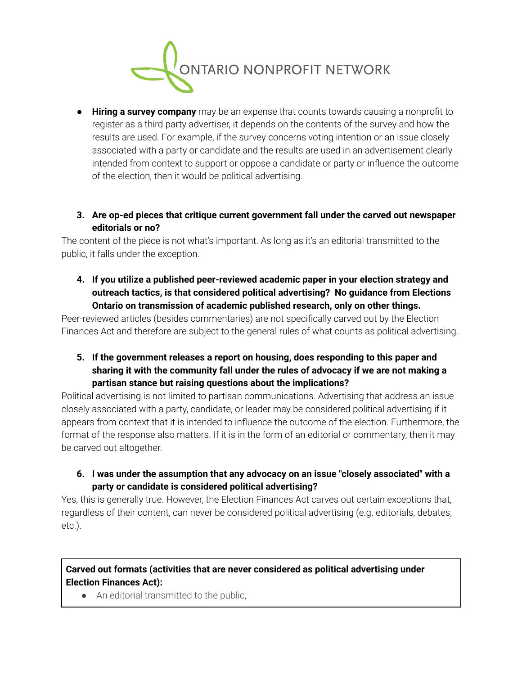

● **Hiring a survey company** may be an expense that counts towards causing a nonprofit to register as a third party advertiser, it depends on the contents of the survey and how the results are used. For example, if the survey concerns voting intention or an issue closely associated with a party or candidate and the results are used in an advertisement clearly intended from context to support or oppose a candidate or party or influence the outcome of the election, then it would be political advertising.

#### **3. Are op-ed pieces that critique current government fall under the carved out newspaper editorials or no?**

The content of the piece is not what's important. As long as it's an editorial transmitted to the public, it falls under the exception.

**4. If you utilize a published peer-reviewed academic paper in your election strategy and outreach tactics, is that considered political advertising? No guidance from Elections Ontario on transmission of academic published research, only on other things.**

Peer-reviewed articles (besides commentaries) are not specifically carved out by the Election Finances Act and therefore are subject to the general rules of what counts as political advertising.

**5. If the government releases a report on housing, does responding to this paper and sharing it with the community fall under the rules of advocacy if we are not making a partisan stance but raising questions about the implications?**

Political advertising is not limited to partisan communications. Advertising that address an issue closely associated with a party, candidate, or leader may be considered political advertising if it appears from context that it is intended to influence the outcome of the election. Furthermore, the format of the response also matters. If it is in the form of an editorial or commentary, then it may be carved out altogether.

# **6. I was under the assumption that any advocacy on an issue "closely associated" with a party or candidate is considered political advertising?**

Yes, this is generally true. However, the Election Finances Act carves out certain exceptions that, regardless of their content, can never be considered political advertising (e.g. editorials, debates, etc.).

# **Carved out formats (activities that are never considered as political advertising under Election Finances Act):**

• An editorial transmitted to the public,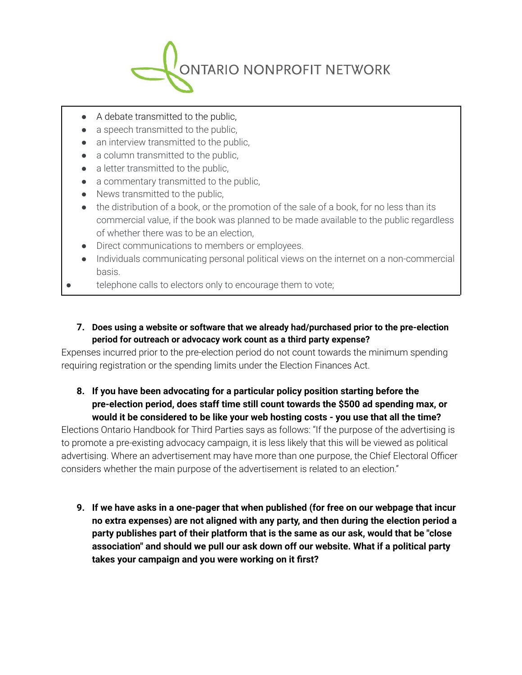

- A debate transmitted to the public,
- a speech transmitted to the public,
- an interview transmitted to the public,
- a column transmitted to the public.
- a letter transmitted to the public,
- a commentary transmitted to the public,
- News transmitted to the public,
- the distribution of a book, or the promotion of the sale of a book, for no less than its commercial value, if the book was planned to be made available to the public regardless of whether there was to be an election,
- Direct communications to members or employees.
- Individuals communicating personal political views on the internet on a non-commercial basis.
- telephone calls to electors only to encourage them to vote;

#### **7. Does using a website or software that we already had/purchased prior to the pre-election period for outreach or advocacy work count as a third party expense?**

Expenses incurred prior to the pre-election period do not count towards the minimum spending requiring registration or the spending limits under the Election Finances Act.

## **8. If you have been advocating for a particular policy position starting before the pre-election period, does staff time still count towards the \$500 ad spending max, or would it be considered to be like your web hosting costs - you use that all the time?**

Elections Ontario Handbook for Third Parties says as follows: "If the purpose of the advertising is to promote a pre-existing advocacy campaign, it is less likely that this will be viewed as political advertising. Where an advertisement may have more than one purpose, the Chief Electoral Officer considers whether the main purpose of the advertisement is related to an election."

**9. If we have asks in a one-pager that when published (for free on our webpage that incur no extra expenses) are not aligned with any party, and then during the election period a party publishes part of their platform that is the same as our ask, would that be "close association" and should we pull our ask down off our website. What if a political party takes your campaign and you were working on it first?**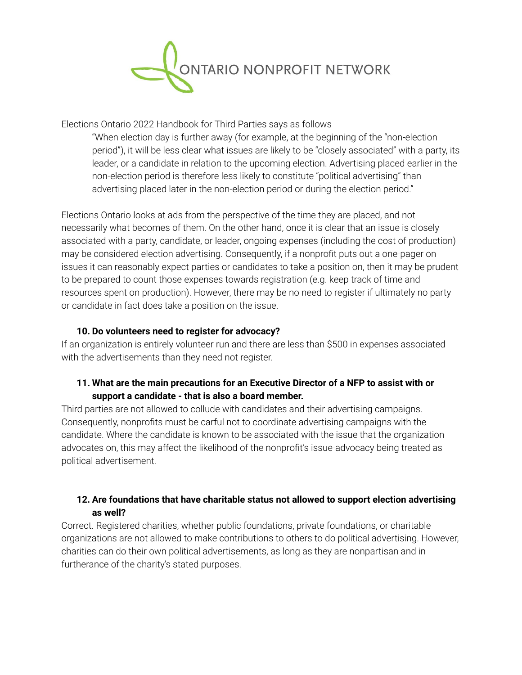

Elections Ontario 2022 Handbook for Third Parties says as follows

"When election day is further away (for example, at the beginning of the "non-election period"), it will be less clear what issues are likely to be "closely associated" with a party, its leader, or a candidate in relation to the upcoming election. Advertising placed earlier in the non-election period is therefore less likely to constitute "political advertising" than advertising placed later in the non-election period or during the election period."

Elections Ontario looks at ads from the perspective of the time they are placed, and not necessarily what becomes of them. On the other hand, once it is clear that an issue is closely associated with a party, candidate, or leader, ongoing expenses (including the cost of production) may be considered election advertising. Consequently, if a nonprofit puts out a one-pager on issues it can reasonably expect parties or candidates to take a position on, then it may be prudent to be prepared to count those expenses towards registration (e.g. keep track of time and resources spent on production). However, there may be no need to register if ultimately no party or candidate in fact does take a position on the issue.

#### **10. Do volunteers need to register for advocacy?**

If an organization is entirely volunteer run and there are less than \$500 in expenses associated with the advertisements than they need not register.

#### **11. What are the main precautions for an Executive Director of a NFP to assist with or support a candidate - that is also a board member.**

Third parties are not allowed to collude with candidates and their advertising campaigns. Consequently, nonprofits must be carful not to coordinate advertising campaigns with the candidate. Where the candidate is known to be associated with the issue that the organization advocates on, this may affect the likelihood of the nonprofit's issue-advocacy being treated as political advertisement.

## **12. Are foundations that have charitable status not allowed to support election advertising as well?**

Correct. Registered charities, whether public foundations, private foundations, or charitable organizations are not allowed to make contributions to others to do political advertising. However, charities can do their own political advertisements, as long as they are nonpartisan and in furtherance of the charity's stated purposes.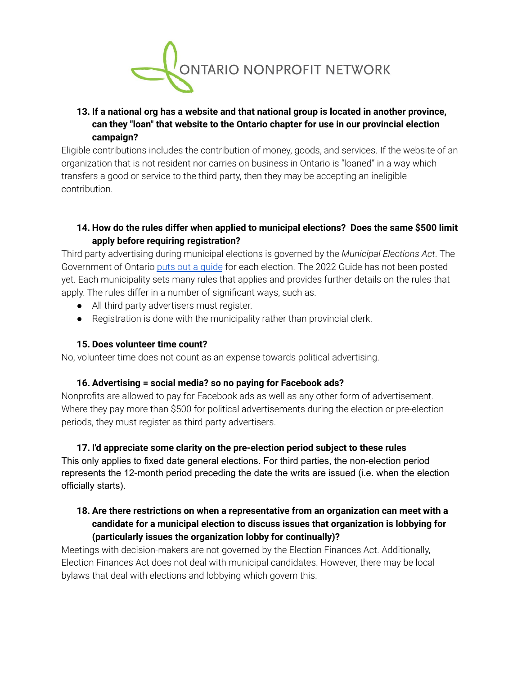

# **13. If a national org has a website and that national group is located in another province, can they "loan" that website to the Ontario chapter for use in our provincial election campaign?**

Eligible contributions includes the contribution of money, goods, and services. If the website of an organization that is not resident nor carries on business in Ontario is "loaned" in a way which transfers a good or service to the third party, then they may be accepting an ineligible contribution.

## **14. How do the rules differ when applied to municipal elections? Does the same \$500 limit apply before requiring registration?**

Third party advertising during municipal elections is governed by the *Municipal Elections Act*. The Government of Ontario puts out a [guide](https://www.ontario.ca/document/2018-guide-third-party-advertisers) for each election. The 2022 Guide has not been posted yet. Each municipality sets many rules that applies and provides further details on the rules that apply. The rules differ in a number of significant ways, such as.

- All third party advertisers must register.
- Registration is done with the municipality rather than provincial clerk.

#### **15. Does volunteer time count?**

No, volunteer time does not count as an expense towards political advertising.

#### **16. Advertising = social media? so no paying for Facebook ads?**

Nonprofits are allowed to pay for Facebook ads as well as any other form of advertisement. Where they pay more than \$500 for political advertisements during the election or pre-election periods, they must register as third party advertisers.

# **17. I'd appreciate some clarity on the pre-election period subject to these rules**

This only applies to fixed date general elections. For third parties, the non-election period represents the 12-month period preceding the date the writs are issued (i.e. when the election officially starts).

## **18. Are there restrictions on when a representative from an organization can meet with a candidate for a municipal election to discuss issues that organization is lobbying for (particularly issues the organization lobby for continually)?**

Meetings with decision-makers are not governed by the Election Finances Act. Additionally, Election Finances Act does not deal with municipal candidates. However, there may be local bylaws that deal with elections and lobbying which govern this.